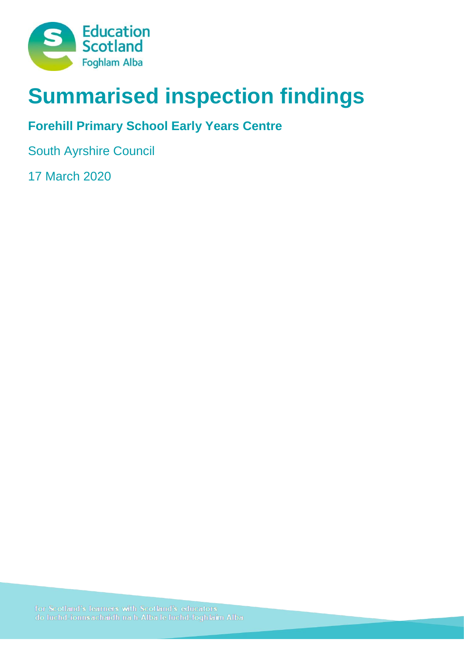

# **Summarised inspection findings**

## **Forehill Primary School Early Years Centre**

South Ayrshire Council

17 March 2020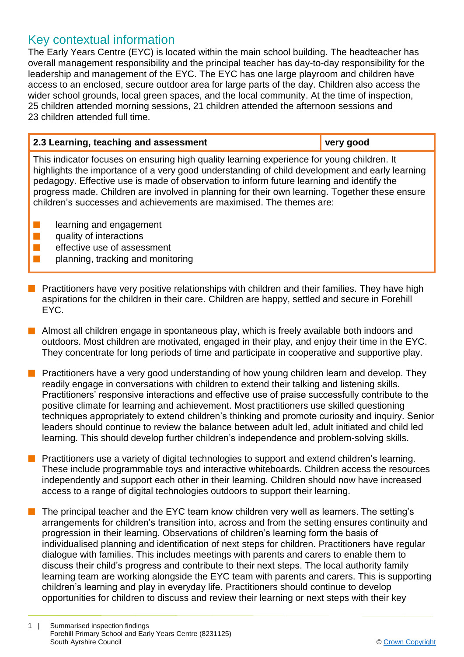### Key contextual information

The Early Years Centre (EYC) is located within the main school building. The headteacher has overall management responsibility and the principal teacher has day-to-day responsibility for the leadership and management of the EYC. The EYC has one large playroom and children have access to an enclosed, secure outdoor area for large parts of the day. Children also access the wider school grounds, local green spaces, and the local community. At the time of inspection, 25 children attended morning sessions, 21 children attended the afternoon sessions and 23 children attended full time.

| 2.3 Learning, teaching and assessment                                                                                                                                                                                                                                                                                                                                                                                                                               | very good |
|---------------------------------------------------------------------------------------------------------------------------------------------------------------------------------------------------------------------------------------------------------------------------------------------------------------------------------------------------------------------------------------------------------------------------------------------------------------------|-----------|
| This indicator focuses on ensuring high quality learning experience for young children. It<br>highlights the importance of a very good understanding of child development and early learning<br>pedagogy. Effective use is made of observation to inform future learning and identify the<br>progress made. Children are involved in planning for their own learning. Together these ensure<br>children's successes and achievements are maximised. The themes are: |           |
| learning and engagement<br>quality of interactions                                                                                                                                                                                                                                                                                                                                                                                                                  |           |

- n effective use of assessment
- planning, tracking and monitoring
- **n** Practitioners have very positive relationships with children and their families. They have high aspirations for the children in their care. Children are happy, settled and secure in Forehill EYC.
- $\blacksquare$  Almost all children engage in spontaneous play, which is freely available both indoors and outdoors. Most children are motivated, engaged in their play, and enjoy their time in the EYC. They concentrate for long periods of time and participate in cooperative and supportive play.
- **n** Practitioners have a very good understanding of how young children learn and develop. They readily engage in conversations with children to extend their talking and listening skills. Practitioners' responsive interactions and effective use of praise successfully contribute to the positive climate for learning and achievement. Most practitioners use skilled questioning techniques appropriately to extend children's thinking and promote curiosity and inquiry. Senior leaders should continue to review the balance between adult led, adult initiated and child led learning. This should develop further children's independence and problem-solving skills.
- **n** Practitioners use a variety of digital technologies to support and extend children's learning. These include programmable toys and interactive whiteboards. Children access the resources independently and support each other in their learning. Children should now have increased access to a range of digital technologies outdoors to support their learning.
- The principal teacher and the EYC team know children very well as learners. The setting's arrangements for children's transition into, across and from the setting ensures continuity and progression in their learning. Observations of children's learning form the basis of individualised planning and identification of next steps for children. Practitioners have regular dialogue with families. This includes meetings with parents and carers to enable them to discuss their child's progress and contribute to their next steps. The local authority family learning team are working alongside the EYC team with parents and carers. This is supporting children's learning and play in everyday life. Practitioners should continue to develop opportunities for children to discuss and review their learning or next steps with their key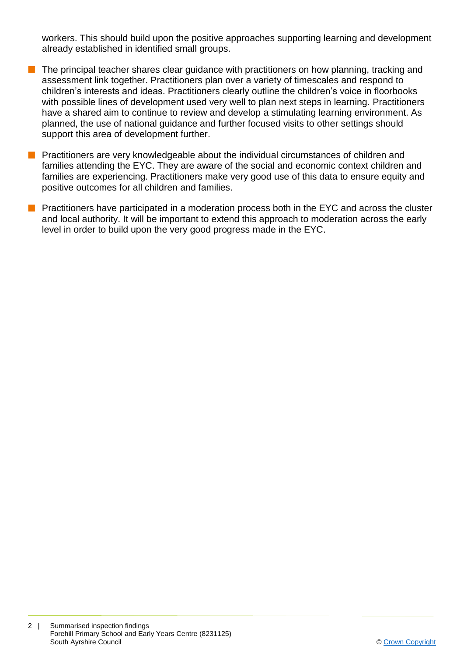workers. This should build upon the positive approaches supporting learning and development already established in identified small groups.

- $\blacksquare$  The principal teacher shares clear guidance with practitioners on how planning, tracking and assessment link together. Practitioners plan over a variety of timescales and respond to children's interests and ideas. Practitioners clearly outline the children's voice in floorbooks with possible lines of development used very well to plan next steps in learning. Practitioners have a shared aim to continue to review and develop a stimulating learning environment. As planned, the use of national guidance and further focused visits to other settings should support this area of development further.
- **n** Practitioners are very knowledgeable about the individual circumstances of children and families attending the EYC. They are aware of the social and economic context children and families are experiencing. Practitioners make very good use of this data to ensure equity and positive outcomes for all children and families.
- **n** Practitioners have participated in a moderation process both in the EYC and across the cluster and local authority. It will be important to extend this approach to moderation across the early level in order to build upon the very good progress made in the EYC.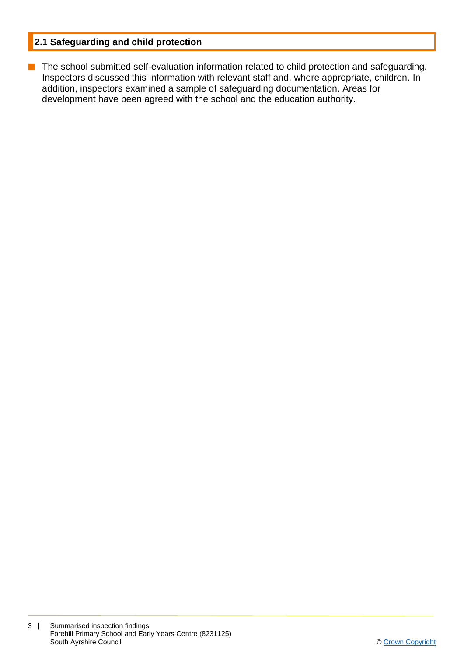#### **2.1 Safeguarding and child protection**

**n** The school submitted self-evaluation information related to child protection and safeguarding. Inspectors discussed this information with relevant staff and, where appropriate, children. In addition, inspectors examined a sample of safeguarding documentation. Areas for development have been agreed with the school and the education authority.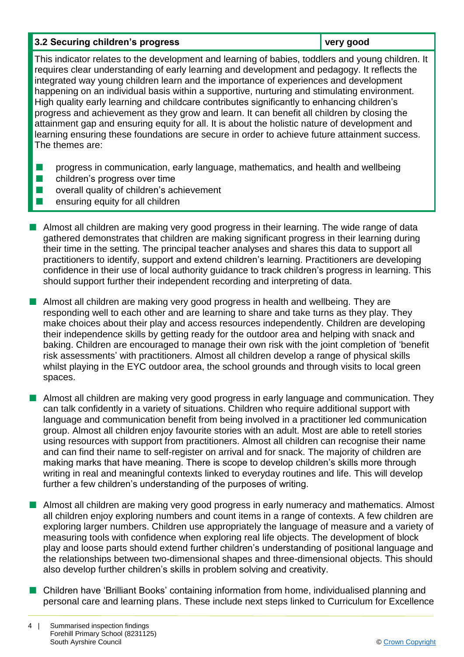#### **3.2 Securing children's progress very good**

This indicator relates to the development and learning of babies, toddlers and young children. It requires clear understanding of early learning and development and pedagogy. It reflects the integrated way young children learn and the importance of experiences and development happening on an individual basis within a supportive, nurturing and stimulating environment. High quality early learning and childcare contributes significantly to enhancing children's progress and achievement as they grow and learn. It can benefit all children by closing the attainment gap and ensuring equity for all. It is about the holistic nature of development and learning ensuring these foundations are secure in order to achieve future attainment success. The themes are:

- **n** progress in communication, early language, mathematics, and health and wellbeing
- $\blacksquare$  children's progress over time
- $\blacksquare$  overall quality of children's achievement
- n ensuring equity for all children
- **n** Almost all children are making very good progress in their learning. The wide range of data gathered demonstrates that children are making significant progress in their learning during their time in the setting. The principal teacher analyses and shares this data to support all practitioners to identify, support and extend children's learning. Practitioners are developing confidence in their use of local authority guidance to track children's progress in learning. This should support further their independent recording and interpreting of data.
- **n** Almost all children are making very good progress in health and wellbeing. They are responding well to each other and are learning to share and take turns as they play. They make choices about their play and access resources independently. Children are developing their independence skills by getting ready for the outdoor area and helping with snack and baking. Children are encouraged to manage their own risk with the joint completion of 'benefit risk assessments' with practitioners. Almost all children develop a range of physical skills whilst playing in the EYC outdoor area, the school grounds and through visits to local green spaces.
- **n** Almost all children are making very good progress in early language and communication. They can talk confidently in a variety of situations. Children who require additional support with language and communication benefit from being involved in a practitioner led communication group. Almost all children enjoy favourite stories with an adult. Most are able to retell stories using resources with support from practitioners. Almost all children can recognise their name and can find their name to self-register on arrival and for snack. The majority of children are making marks that have meaning. There is scope to develop children's skills more through writing in real and meaningful contexts linked to everyday routines and life. This will develop further a few children's understanding of the purposes of writing.
- n Almost all children are making very good progress in early numeracy and mathematics. Almost all children enjoy exploring numbers and count items in a range of contexts. A few children are exploring larger numbers. Children use appropriately the language of measure and a variety of measuring tools with confidence when exploring real life objects. The development of block play and loose parts should extend further children's understanding of positional language and the relationships between two-dimensional shapes and three-dimensional objects. This should also develop further children's skills in problem solving and creativity.
- n Children have 'Brilliant Books' containing information from home, individualised planning and personal care and learning plans. These include next steps linked to Curriculum for Excellence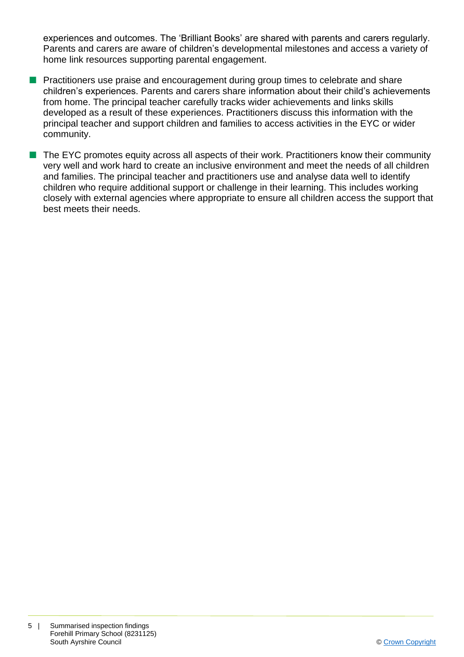experiences and outcomes. The 'Brilliant Books' are shared with parents and carers regularly. Parents and carers are aware of children's developmental milestones and access a variety of home link resources supporting parental engagement.

- **n** Practitioners use praise and encouragement during group times to celebrate and share children's experiences. Parents and carers share information about their child's achievements from home. The principal teacher carefully tracks wider achievements and links skills developed as a result of these experiences. Practitioners discuss this information with the principal teacher and support children and families to access activities in the EYC or wider community.
- $\blacksquare$  The EYC promotes equity across all aspects of their work. Practitioners know their community very well and work hard to create an inclusive environment and meet the needs of all children and families. The principal teacher and practitioners use and analyse data well to identify children who require additional support or challenge in their learning. This includes working closely with external agencies where appropriate to ensure all children access the support that best meets their needs.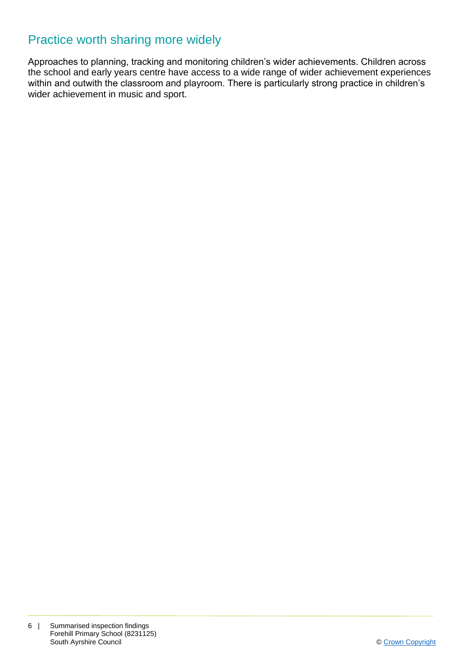## Practice worth sharing more widely

Approaches to planning, tracking and monitoring children's wider achievements. Children across the school and early years centre have access to a wide range of wider achievement experiences within and outwith the classroom and playroom. There is particularly strong practice in children's wider achievement in music and sport.